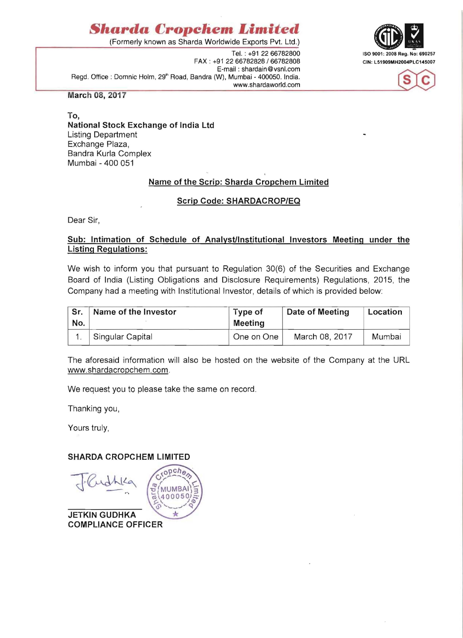# *§harda* **Cropehem** *Limited*

(Formerly known as Sharda Worldwide Exports Pvt. Ltd.)

FAX: +91 22 66782828 / 66782808 CIN: L51909MH2004PLC145007 E-mail: shardain@vsnl.com Regd. Office: Domnic Holm, 29<sup>th</sup> Road, Bandra (W), Mumbai - 400050. India. www.shardaworld.com





**March 08, 2017** 

### **To, National Stock Exchange of India Ltd**  Listing Department Exchange Plaza, Sandra Kurla Complex Mumbai - 400 051

# **Name of the Scrip: Sharda Cropchem Limited**

### **Scrip Code: SHARDACROP/EQ**

Dear Sir,

### **Sub: Intimation of Schedule of Analyst/Institutional Investors Meeting under the Listing Regulations:**

We wish to inform you that pursuant to Regulation 30(6) of the Securities and Exchange Soard of India (Listing Obligations and Disclosure Requirements) Regulations, 2015, the Company had a meeting with Institutional Investor, details of which is provided below:

| Sr.<br>No. | Name of the Investor | Type of<br><b>Meeting</b> | Date of Meeting | Location |
|------------|----------------------|---------------------------|-----------------|----------|
|            | Singular Capital     | One on One                | March 08, 2017  | Mumbai   |

The aforesaid information will also be hosted on the website of the Company at the URL www.shardacropchem.com.

We request you to please take the same on record.

 $pch<sub>g</sub>$ 

**MUMBAI** 400050

 $\frac{1}{2}$ 

Thanking you,

Yours truly,

### **SHARDA CROPCHEM LIMITED**

**JETKIN GUDHKA COMPLIANCE OFFICER**